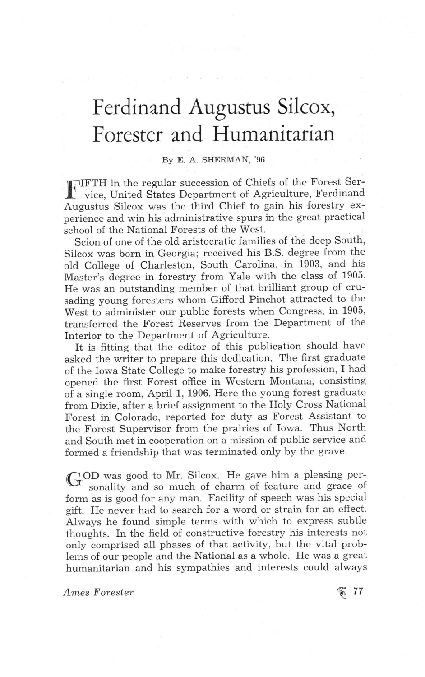## Ferdinand Augustus Silcox, Forester and Humanitarian

## By E. A. SHERMAN, '96

HTTH in the regular succession of Chiefs of the Forest Service, United States Department of Agriculture, Ferdinand vice, United States Department of Agriculture, Ferdinand Augustus Silcox was the third Chief to gain his forestry experience and win his administrative spurs in the great practical school of the National Forests of the West.

Scion of one of the old aristocratic families of the deep South, silcox was born in Georgia; received his B.S. degree from the old College of Charleston, South Carolina, in 1903, and his Master's degree in forestry from Yale with the class of 1905. He was an outstanding member of that brilliant group of crusading young foresters whom Gifford Pinchot attracted to the West to administer our public forests when Congress, in 1905, transferred the Forest Reserves from the Department of the Interior to the Department of Agriculture.

It is fitting that the editor of this publication should have asked the writer to prepare this dedication. The first graduate o£ the Iowa State College to make forestry his profession, I had opened the first Forest office in Western Montana, consisting of a single room, April 1, 1906. Here the young forest graduate from Dixie, after a brief assignment to the Holy Cross National Forest in Colorado, reported for duty as Forest Assistant to the Forest Supervisor from the prairies of Iowa. Thus North and South met in cooperation on a mission of public service and formed a friendship that was terminated only by the grave.

GOD was good to Mr. Silcox. He gave him a pleasing per-<br>sonality and so much of charm of feature and grace of form as is good for any man. Facility of speech was his special gift. He never had to search for a word or strain for an effect. Always he found simple terms with which to express subtle thoughts. In the field of constructive forestry his interests not only comprised all phases of that activity, but the vital problems of our people and the National as a whole. He was a great humanitarian and his sympathies and interests could always

Ames Forester  $\approx$  77